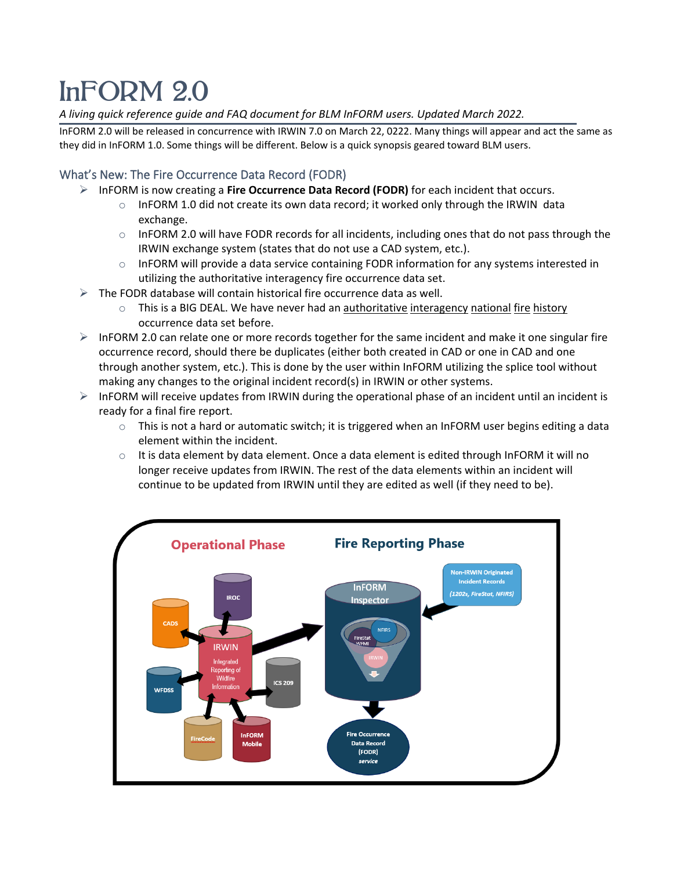# InFORM 2.0

*A living quick reference guide and FAQ document for BLM InFORM users. Updated March 2022.*

InFORM 2.0 will be released in concurrence with IRWIN 7.0 on March 22, 0222. Many things will appear and act the same as they did in InFORM 1.0. Some things will be different. Below is a quick synopsis geared toward BLM users.

# What's New: The Fire Occurrence Data Record (FODR)

- InFORM is now creating a **Fire Occurrence Data Record (FODR)** for each incident that occurs.
	- o InFORM 1.0 did not create its own data record; it worked only through the IRWIN data exchange.
	- $\circ$  InFORM 2.0 will have FODR records for all incidents, including ones that do not pass through the IRWIN exchange system (states that do not use a CAD system, etc.).
	- $\circ$  InFORM will provide a data service containing FODR information for any systems interested in utilizing the authoritative interagency fire occurrence data set.
- $\triangleright$  The FODR database will contain historical fire occurrence data as well.
	- $\circ$  This is a BIG DEAL. We have never had an authoritative interagency national fire history occurrence data set before.
- $\triangleright$  InFORM 2.0 can relate one or more records together for the same incident and make it one singular fire occurrence record, should there be duplicates (either both created in CAD or one in CAD and one through another system, etc.). This is done by the user within InFORM utilizing the splice tool without making any changes to the original incident record(s) in IRWIN or other systems.
- $\triangleright$  InFORM will receive updates from IRWIN during the operational phase of an incident until an incident is ready for a final fire report.
	- $\circ$  This is not a hard or automatic switch; it is triggered when an InFORM user begins editing a data element within the incident.
	- $\circ$  It is data element by data element. Once a data element is edited through InFORM it will no longer receive updates from IRWIN. The rest of the data elements within an incident will continue to be updated from IRWIN until they are edited as well (if they need to be).

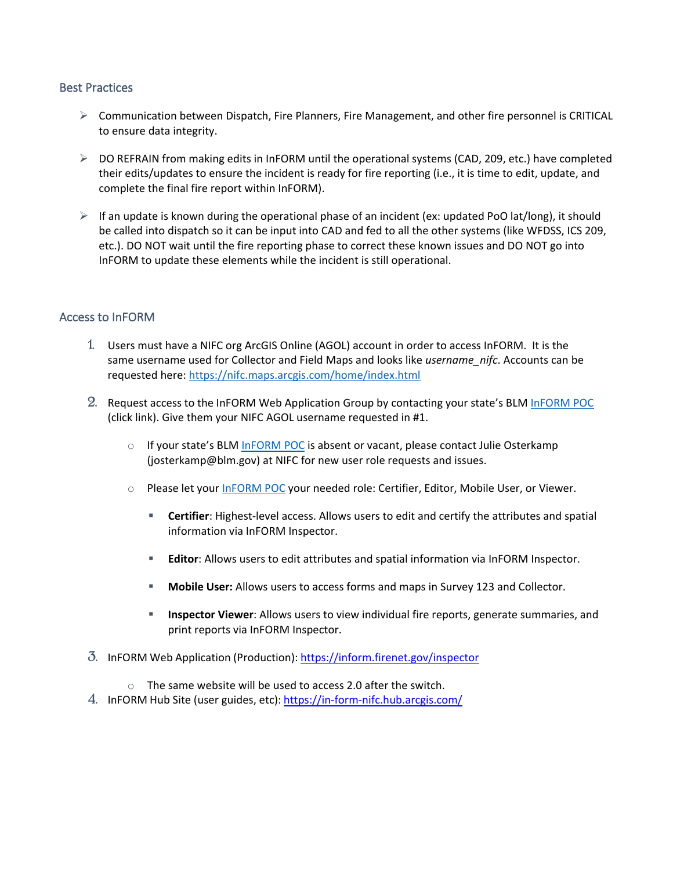#### Best Practices

- $\triangleright$  Communication between Dispatch, Fire Planners, Fire Management, and other fire personnel is CRITICAL to ensure data integrity.
- $\triangleright$  DO REFRAIN from making edits in InFORM until the operational systems (CAD, 209, etc.) have completed their edits/updates to ensure the incident is ready for fire reporting (i.e., it is time to edit, update, and complete the final fire report within InFORM).
- $\triangleright$  If an update is known during the operational phase of an incident (ex: updated PoO lat/long), it should be called into dispatch so it can be input into CAD and fed to all the other systems (like WFDSS, ICS 209, etc.). DO NOT wait until the fire reporting phase to correct these known issues and DO NOT go into InFORM to update these elements while the incident is still operational.

#### Access to InFORM

- 1. Users must have a NIFC org ArcGIS Online (AGOL) account in order to access InFORM. It is the same username used for Collector and Field Maps and looks like *username\_nifc*. Accounts can be requested here: <https://nifc.maps.arcgis.com/home/index.html>
- 2. Request access to the InFORM Web Application Group by contacting your state's BLM [InFORM POC](https://in-form-nifc.hub.arcgis.com/pages/in-form-contacts) (click link). Give them your NIFC AGOL username requested in #1.
	- $\circ$  If your state's BLM [InFORM POC](https://in-form-nifc.hub.arcgis.com/pages/in-form-contacts) is absent or vacant, please contact Julie Osterkamp (josterkamp@blm.gov) at NIFC for new user role requests and issues.
	- o Please let your [InFORM POC](https://in-form-nifc.hub.arcgis.com/pages/in-form-contacts) your needed role: Certifier, Editor, Mobile User, or Viewer.
		- **Certifier**: Highest-level access. Allows users to edit and certify the attributes and spatial information via InFORM Inspector.
		- **Editor**: Allows users to edit attributes and spatial information via InFORM Inspector.
		- **Mobile User:** Allows users to access forms and maps in Survey 123 and Collector.
		- **Inspector Viewer**: Allows users to view individual fire reports, generate summaries, and print reports via InFORM Inspector.
- 3. InFORM Web Application (Production): <https://inform.firenet.gov/inspector>
	- o The same website will be used to access 2.0 after the switch.
- 4. InFORM Hub Site (user guides, etc): <https://in-form-nifc.hub.arcgis.com/>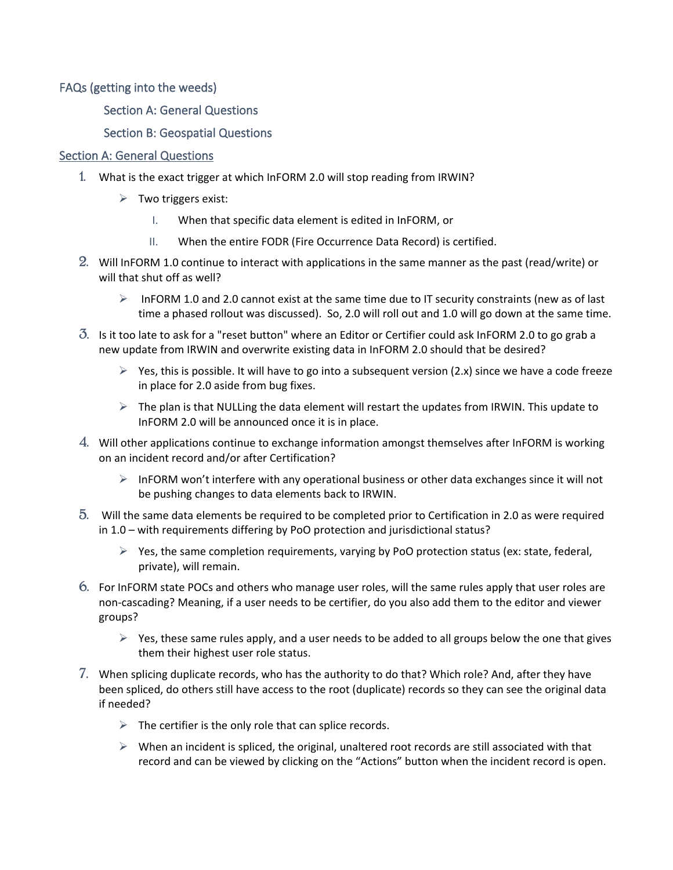FAQs (getting into the weeds)

Section A: General Questions

# Section B: Geospatial Questions

### Section A: General Questions

- 1. What is the exact trigger at which InFORM 2.0 will stop reading from IRWIN?
	- $\triangleright$  Two triggers exist:
		- I. When that specific data element is edited in InFORM, or
		- II. When the entire FODR (Fire Occurrence Data Record) is certified.
- 2. Will InFORM 1.0 continue to interact with applications in the same manner as the past (read/write) or will that shut off as well?
	- $\triangleright$  InFORM 1.0 and 2.0 cannot exist at the same time due to IT security constraints (new as of last time a phased rollout was discussed). So, 2.0 will roll out and 1.0 will go down at the same time.
- 3. Is it too late to ask for a "reset button" where an Editor or Certifier could ask InFORM 2.0 to go grab a new update from IRWIN and overwrite existing data in InFORM 2.0 should that be desired?
	- $\triangleright$  Yes, this is possible. It will have to go into a subsequent version (2.x) since we have a code freeze in place for 2.0 aside from bug fixes.
	- $\triangleright$  The plan is that NULLing the data element will restart the updates from IRWIN. This update to InFORM 2.0 will be announced once it is in place.
- 4. Will other applications continue to exchange information amongst themselves after InFORM is working on an incident record and/or after Certification?
	- $\triangleright$  InFORM won't interfere with any operational business or other data exchanges since it will not be pushing changes to data elements back to IRWIN.
- 5. Will the same data elements be required to be completed prior to Certification in 2.0 as were required in 1.0 – with requirements differing by PoO protection and jurisdictional status?
	- $\triangleright$  Yes, the same completion requirements, varying by PoO protection status (ex: state, federal, private), will remain.
- 6. For InFORM state POCs and others who manage user roles, will the same rules apply that user roles are non-cascading? Meaning, if a user needs to be certifier, do you also add them to the editor and viewer groups?
	- $\triangleright$  Yes, these same rules apply, and a user needs to be added to all groups below the one that gives them their highest user role status.
- 7. When splicing duplicate records, who has the authority to do that? Which role? And, after they have been spliced, do others still have access to the root (duplicate) records so they can see the original data if needed?
	- $\triangleright$  The certifier is the only role that can splice records.
	- $\triangleright$  When an incident is spliced, the original, unaltered root records are still associated with that record and can be viewed by clicking on the "Actions" button when the incident record is open.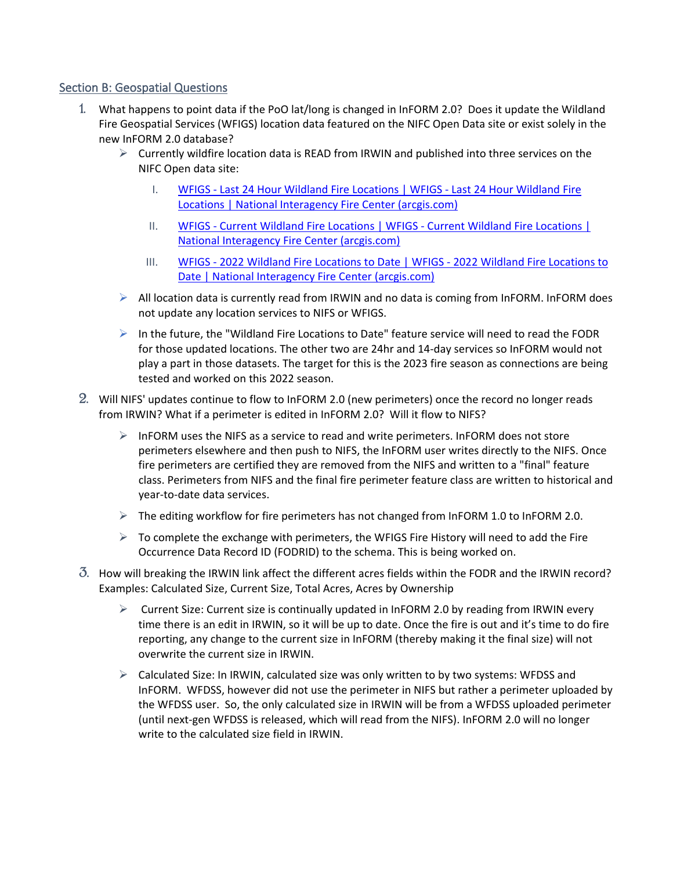## Section B: Geospatial Questions

- 1. What happens to point data if the PoO lat/long is changed in InFORM 2.0? Does it update the Wildland Fire Geospatial Services (WFIGS) location data featured on the NIFC Open Data site or exist solely in the new InFORM 2.0 database?
	- $\triangleright$  Currently wildfire location data is READ from IRWIN and published into three services on the NIFC Open data site:
		- I. WFIGS Last 24 Hour Wildland Fire [Locations](https://gcc02.safelinks.protection.outlook.com/?url=https%3A%2F%2Fdata-nifc.opendata.arcgis.com%2Fdatasets%2Fwfigs-last-24-hour-wildland-fire-locations%2Fexplore%3Flocation%3D-0.000000%252C0.000000%252C0.00&data=04%7C01%7CAndy_Kirsch%40nps.gov%7C7af26a0c0a8a4d8df2fe08d9f31cb04a%7C0693b5ba4b184d7b9341f32f400a5494%7C0%7C0%7C637808126800318240%7CUnknown%7CTWFpbGZsb3d8eyJWIjoiMC4wLjAwMDAiLCJQIjoiV2luMzIiLCJBTiI6Ik1haWwiLCJXVCI6Mn0%3D%7C3000&sdata=%2Fwmvz0PLNd5HEoDFSgzz5ob%2BNbPYVUTHl5gvok7e8TA%3D&reserved=0) | WFIGS Last 24 Hour Wildland Fire Locations | National Interagency Fire Center [\(arcgis.com\)](https://gcc02.safelinks.protection.outlook.com/?url=https%3A%2F%2Fdata-nifc.opendata.arcgis.com%2Fdatasets%2Fwfigs-last-24-hour-wildland-fire-locations%2Fexplore%3Flocation%3D-0.000000%252C0.000000%252C0.00&data=04%7C01%7CAndy_Kirsch%40nps.gov%7C7af26a0c0a8a4d8df2fe08d9f31cb04a%7C0693b5ba4b184d7b9341f32f400a5494%7C0%7C0%7C637808126800318240%7CUnknown%7CTWFpbGZsb3d8eyJWIjoiMC4wLjAwMDAiLCJQIjoiV2luMzIiLCJBTiI6Ik1haWwiLCJXVCI6Mn0%3D%7C3000&sdata=%2Fwmvz0PLNd5HEoDFSgzz5ob%2BNbPYVUTHl5gvok7e8TA%3D&reserved=0)
		- II. WFIGS Current Wildland Fire Locations | WFIGS Current Wildland Fire [Locations](https://gcc02.safelinks.protection.outlook.com/?url=https%3A%2F%2Fdata-nifc.opendata.arcgis.com%2Fdatasets%2Fwfigs-current-wildland-fire-locations%2Fexplore%3Flocation%3D-0.000000%252C0.000000%252C0.00&data=04%7C01%7CAndy_Kirsch%40nps.gov%7C7af26a0c0a8a4d8df2fe08d9f31cb04a%7C0693b5ba4b184d7b9341f32f400a5494%7C0%7C0%7C637808126800318240%7CUnknown%7CTWFpbGZsb3d8eyJWIjoiMC4wLjAwMDAiLCJQIjoiV2luMzIiLCJBTiI6Ik1haWwiLCJXVCI6Mn0%3D%7C3000&sdata=o6aSh5Rh49ktKzFmenGGPkueJx74pGOg9rCaEomGiUM%3D&reserved=0) | National Interagency Fire Center [\(arcgis.com\)](https://gcc02.safelinks.protection.outlook.com/?url=https%3A%2F%2Fdata-nifc.opendata.arcgis.com%2Fdatasets%2Fwfigs-current-wildland-fire-locations%2Fexplore%3Flocation%3D-0.000000%252C0.000000%252C0.00&data=04%7C01%7CAndy_Kirsch%40nps.gov%7C7af26a0c0a8a4d8df2fe08d9f31cb04a%7C0693b5ba4b184d7b9341f32f400a5494%7C0%7C0%7C637808126800318240%7CUnknown%7CTWFpbGZsb3d8eyJWIjoiMC4wLjAwMDAiLCJQIjoiV2luMzIiLCJBTiI6Ik1haWwiLCJXVCI6Mn0%3D%7C3000&sdata=o6aSh5Rh49ktKzFmenGGPkueJx74pGOg9rCaEomGiUM%3D&reserved=0)
		- III. WFIGS 2022 Wildland Fire Locations to Date | WFIGS 2022 Wildland Fire [Locations](https://gcc02.safelinks.protection.outlook.com/?url=https%3A%2F%2Fdata-nifc.opendata.arcgis.com%2Fdatasets%2Fwfigs-2022-wildland-fire-locations-to-date%2Fexplore%3Flocation%3D-0.000000%252C0.000000%252C0.00&data=04%7C01%7CAndy_Kirsch%40nps.gov%7C7af26a0c0a8a4d8df2fe08d9f31cb04a%7C0693b5ba4b184d7b9341f32f400a5494%7C0%7C0%7C637808126800318240%7CUnknown%7CTWFpbGZsb3d8eyJWIjoiMC4wLjAwMDAiLCJQIjoiV2luMzIiLCJBTiI6Ik1haWwiLCJXVCI6Mn0%3D%7C3000&sdata=b1VK%2BD%2FqMDfTefhM222K5mwdbKBQAmvw0ToYBkTTcHM%3D&reserved=0) to Date | National Interagency Fire Center [\(arcgis.com\)](https://gcc02.safelinks.protection.outlook.com/?url=https%3A%2F%2Fdata-nifc.opendata.arcgis.com%2Fdatasets%2Fwfigs-2022-wildland-fire-locations-to-date%2Fexplore%3Flocation%3D-0.000000%252C0.000000%252C0.00&data=04%7C01%7CAndy_Kirsch%40nps.gov%7C7af26a0c0a8a4d8df2fe08d9f31cb04a%7C0693b5ba4b184d7b9341f32f400a5494%7C0%7C0%7C637808126800318240%7CUnknown%7CTWFpbGZsb3d8eyJWIjoiMC4wLjAwMDAiLCJQIjoiV2luMzIiLCJBTiI6Ik1haWwiLCJXVCI6Mn0%3D%7C3000&sdata=b1VK%2BD%2FqMDfTefhM222K5mwdbKBQAmvw0ToYBkTTcHM%3D&reserved=0)
	- $\triangleright$  All location data is currently read from IRWIN and no data is coming from InFORM. InFORM does not update any location services to NIFS or WFIGS.
	- $\triangleright$  In the future, the "Wildland Fire Locations to Date" feature service will need to read the FODR for those updated locations. The other two are 24hr and 14-day services so InFORM would not play a part in those datasets. The target for this is the 2023 fire season as connections are being tested and worked on this 2022 season.
- 2. Will NIFS' updates continue to flow to InFORM 2.0 (new perimeters) once the record no longer reads from IRWIN? What if a perimeter is edited in InFORM 2.0? Will it flow to NIFS?
	- $\triangleright$  InFORM uses the NIFS as a service to read and write perimeters. InFORM does not store perimeters elsewhere and then push to NIFS, the InFORM user writes directly to the NIFS. Once fire perimeters are certified they are removed from the NIFS and written to a "final" feature class. Perimeters from NIFS and the final fire perimeter feature class are written to historical and year-to-date data services.
	- $\triangleright$  The editing workflow for fire perimeters has not changed from InFORM 1.0 to InFORM 2.0.
	- $\triangleright$  To complete the exchange with perimeters, the WFIGS Fire History will need to add the Fire Occurrence Data Record ID (FODRID) to the schema. This is being worked on.
- 3. How will breaking the IRWIN link affect the different acres fields within the FODR and the IRWIN record? Examples: Calculated Size, Current Size, Total Acres, Acres by Ownership
	- $\triangleright$  Current Size: Current size is continually updated in InFORM 2.0 by reading from IRWIN every time there is an edit in IRWIN, so it will be up to date. Once the fire is out and it's time to do fire reporting, any change to the current size in InFORM (thereby making it the final size) will not overwrite the current size in IRWIN.
	- $\triangleright$  Calculated Size: In IRWIN, calculated size was only written to by two systems: WFDSS and InFORM. WFDSS, however did not use the perimeter in NIFS but rather a perimeter uploaded by the WFDSS user. So, the only calculated size in IRWIN will be from a WFDSS uploaded perimeter (until next-gen WFDSS is released, which will read from the NIFS). InFORM 2.0 will no longer write to the calculated size field in IRWIN.